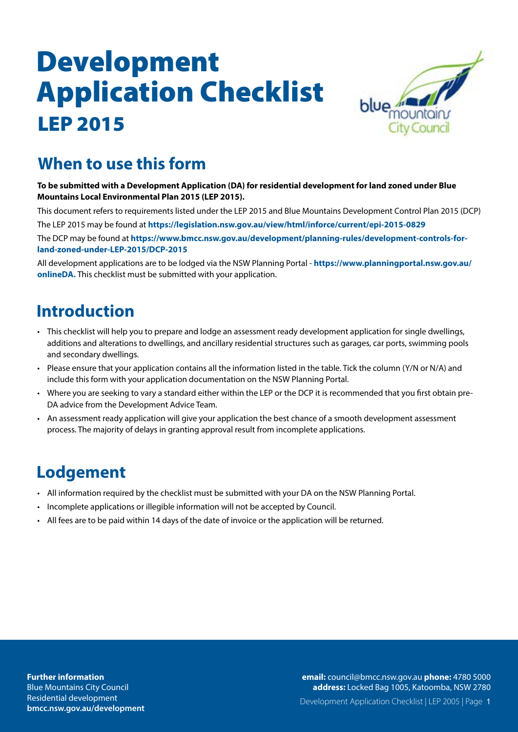

### **When to use this form**

**To be submitted with a Development Application (DA) for residential development for land zoned under Blue Mountains Local Environmental Plan 2015 (LEP 2015).**

This document refers to requirements listed under the LEP 2015 and Blue Mountains Development Control Plan 2015 (DCP) The LEP 2015 may be found at **https://legislation.nsw.gov.au/view/html/inforce/current/epi-2015-0829** The DCP may be found at **https://www.bmcc.nsw.gov.au/development/planning-rules/development-controls-forland-zoned-under-LEP-2015/DCP-2015**

All development applications are to be lodged via the NSW Planning Portal - **https://www.planningportal.nsw.gov.au/ onlineDA.** This checklist must be submitted with your application.

### **Introduction**

- This checklist will help you to prepare and lodge an assessment ready development application for single dwellings, additions and alterations to dwellings, and ancillary residential structures such as garages, car ports, swimming pools and secondary dwellings.
- Please ensure that your application contains all the information listed in the table. Tick the column (Y/N or N/A) and include this form with your application documentation on the NSW Planning Portal.
- Where you are seeking to vary a standard either within the LEP or the DCP it is recommended that you first obtain pre-DA advice from the Development Advice Team.
- An assessment ready application will give your application the best chance of a smooth development assessment process. The majority of delays in granting approval result from incomplete applications.

### **Lodgement**

- All information required by the checklist must be submitted with your DA on the NSW Planning Portal.
- Incomplete applications or illegible information will not be accepted by Council.
- All fees are to be paid within 14 days of the date of invoice or the application will be returned.

**Blue Mountains City Council** Residential development Residential development **[bmcc.nsw.gov.au/](https://www.bmcc.nsw.gov.au/community/cemeteries)developmentFurther information**

**address:** Locked Bag 1005, Katoomba, NSW 2780 **email:** [council@bmcc.nsw.gov.au](mailto:council%40bmcc.nsw.gov.au%20?subject=) **phone:** 4780 5000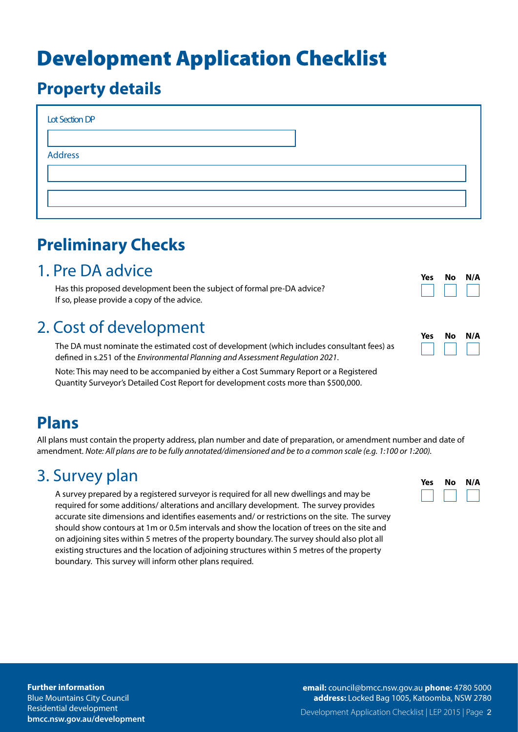### **Property details**

| Lot Section DP |  |  |  |
|----------------|--|--|--|
|                |  |  |  |
| <b>Address</b> |  |  |  |
|                |  |  |  |
|                |  |  |  |
|                |  |  |  |

## **Preliminary Checks**

### 1. Pre DA advice

Has this proposed development been the subject of formal pre-DA advice? If so, please provide a copy of the advice.

### 2. Cost of development

The DA must nominate the estimated cost of development (which includes consultant fees) as defined in s.251 of the *Environmental Planning and Assessment Regulation 2021*.

Note: This may need to be accompanied by either a Cost Summary Report or a Registered Quantity Surveyor's Detailed Cost Report for development costs more than \$500,000.

| Yes | Nο | N/A |
|-----|----|-----|
|     |    |     |

| Yes | Nο | N/A |
|-----|----|-----|
|     |    |     |

### **Plans**

All plans must contain the property address, plan number and date of preparation, or amendment number and date of amendment. *Note: All plans are to be fully annotated/dimensioned and be to a common scale (e.g. 1:100 or 1:200).*

### 3. Survey plan

A survey prepared by a registered surveyor is required for all new dwellings and may be required for some additions/ alterations and ancillary development. The survey provides accurate site dimensions and identifies easements and/ or restrictions on the site. The survey should show contours at 1m or 0.5m intervals and show the location of trees on the site and on adjoining sites within 5 metres of the property boundary. The survey should also plot all existing structures and the location of adjoining structures within 5 metres of the property boundary. This survey will inform other plans required.

| Yes | Nο | N/A |
|-----|----|-----|
|     |    |     |

#### **Further information** Blue Mountains City Council Residential development

**[bmcc.nsw.gov.au/d](https://www.bmcc.nsw.gov.au/community/cemeteries)evelopment**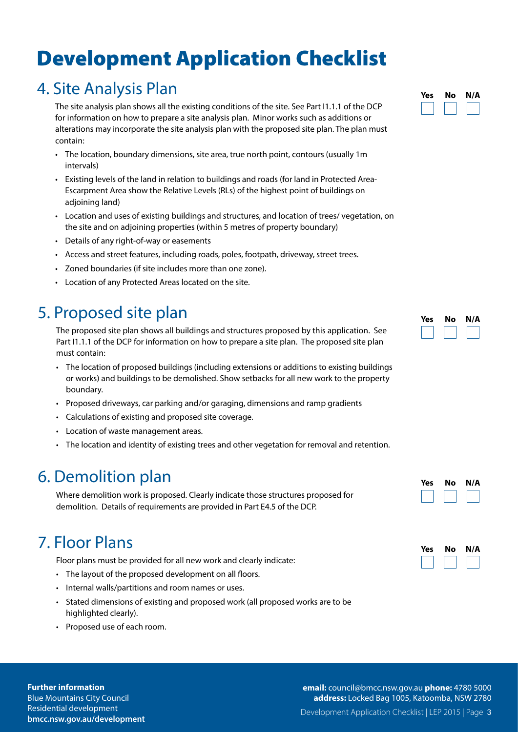### 4. Site Analysis Plan

The site analysis plan shows all the existing conditions of the site. See Part I1.1.1 of the DCP for information on how to prepare a site analysis plan. Minor works such as additions or alterations may incorporate the site analysis plan with the proposed site plan. The plan must contain:

- The location, boundary dimensions, site area, true north point, contours (usually 1m intervals)
- Existing levels of the land in relation to buildings and roads (for land in Protected Area-Escarpment Area show the Relative Levels (RLs) of the highest point of buildings on adjoining land)
- Location and uses of existing buildings and structures, and location of trees/ vegetation, on the site and on adjoining properties (within 5 metres of property boundary)
- Details of any right-of-way or easements
- Access and street features, including roads, poles, footpath, driveway, street trees.
- Zoned boundaries (if site includes more than one zone).
- Location of any Protected Areas located on the site.

### 5. Proposed site plan

The proposed site plan shows all buildings and structures proposed by this application. See Part I1.1.1 of the DCP for information on how to prepare a site plan. The proposed site plan must contain:

- The location of proposed buildings (including extensions or additions to existing buildings or works) and buildings to be demolished. Show setbacks for all new work to the property boundary.
- Proposed driveways, car parking and/or garaging, dimensions and ramp gradients
- Calculations of existing and proposed site coverage.
- Location of waste management areas.
- The location and identity of existing trees and other vegetation for removal and retention.

### 6. Demolition plan

Where demolition work is proposed. Clearly indicate those structures proposed for demolition. Details of requirements are provided in Part E4.5 of the DCP.

### 7. Floor Plans

Floor plans must be provided for all new work and clearly indicate:

- The layout of the proposed development on all floors.
- Internal walls/partitions and room names or uses.
- Stated dimensions of existing and proposed work (all proposed works are to be highlighted clearly).
- Proposed use of each room.

**Further information** Blue Mountains City Council Residential development **[bmcc.nsw.gov.au/d](https://www.bmcc.nsw.gov.au/community/cemeteries)evelopment**

#### Development Application Checklist | LEP 2015 | Page 3 **email:** [council@bmcc.nsw.gov.au](mailto:council%40bmcc.nsw.gov.au%20?subject=) **phone:** 4780 5000 **address:** Locked Bag 1005, Katoomba, NSW 2780

**Yes No N/A**



| Yes | No | N/A |
|-----|----|-----|
|     |    |     |

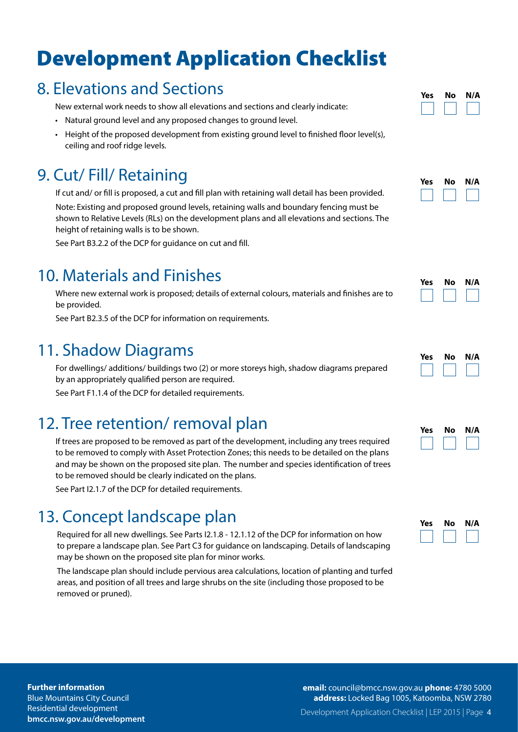### 8. Elevations and Sections

New external work needs to show all elevations and sections and clearly indicate:

- Natural ground level and any proposed changes to ground level.
- Height of the proposed development from existing ground level to finished floor level(s), ceiling and roof ridge levels.

### 9. Cut/ Fill/ Retaining

If cut and/ or fill is proposed, a cut and fill plan with retaining wall detail has been provided. Note: Existing and proposed ground levels, retaining walls and boundary fencing must be shown to Relative Levels (RLs) on the development plans and all elevations and sections. The height of retaining walls is to be shown.

See Part B3.2.2 of the DCP for guidance on cut and fill.

### 10. Materials and Finishes

Where new external work is proposed; details of external colours, materials and finishes are to be provided.

See Part B2.3.5 of the DCP for information on requirements.

### 11. Shadow Diagrams

For dwellings/ additions/ buildings two (2) or more storeys high, shadow diagrams prepared by an appropriately qualified person are required.

See Part F1.1.4 of the DCP for detailed requirements.

### 12. Tree retention/ removal plan

If trees are proposed to be removed as part of the development, including any trees required to be removed to comply with Asset Protection Zones; this needs to be detailed on the plans and may be shown on the proposed site plan. The number and species identification of trees to be removed should be clearly indicated on the plans.

See Part I2.1.7 of the DCP for detailed requirements.

### 13. Concept landscape plan

Required for all new dwellings. See Parts I2.1.8 - 12.1.12 of the DCP for information on how to prepare a landscape plan. See Part C3 for guidance on landscaping. Details of landscaping may be shown on the proposed site plan for minor works.

The landscape plan should include pervious area calculations, location of planting and turfed areas, and position of all trees and large shrubs on the site (including those proposed to be removed or pruned).

| Yes | Nο | N/A |  |
|-----|----|-----|--|
|     |    |     |  |



| Yes | Nο | N/A |
|-----|----|-----|
|     |    |     |

| Yes | Nο | N/A |
|-----|----|-----|
|     |    |     |

| Yes | Nο | N/A |
|-----|----|-----|
|     |    |     |

| Yes | No | N/A |
|-----|----|-----|
|     |    |     |

**Further information** Blue Mountains City Council Residential development **[bmcc.nsw.gov.au/d](https://www.bmcc.nsw.gov.au/community/cemeteries)evelopment** Development Application Checklist | LEP 2015 | Page 4 **email:** [council@bmcc.nsw.gov.au](mailto:council%40bmcc.nsw.gov.au%20?subject=) **phone:** 4780 5000 **address:** Locked Bag 1005, Katoomba, NSW 2780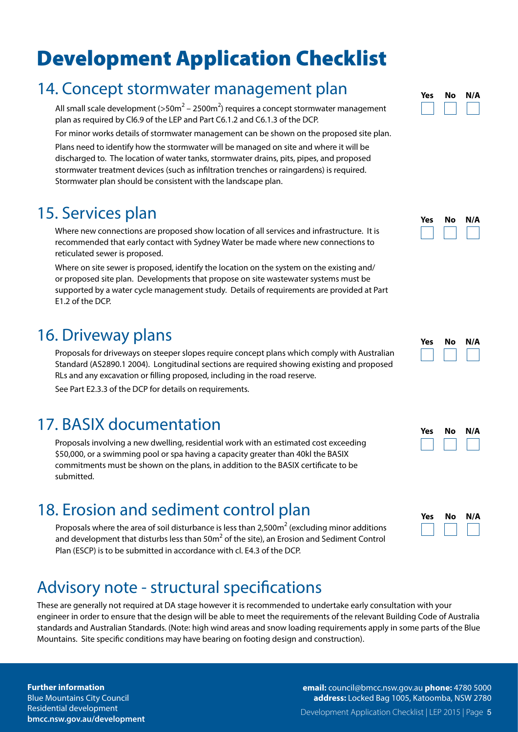### 14. Concept stormwater management plan

All small scale development (>50m<sup>2</sup> – 2500m<sup>2</sup>) requires a concept stormwater management plan as required by Cl6.9 of the LEP and Part C6.1.2 and C6.1.3 of the DCP.

For minor works details of stormwater management can be shown on the proposed site plan.

Plans need to identify how the stormwater will be managed on site and where it will be discharged to. The location of water tanks, stormwater drains, pits, pipes, and proposed stormwater treatment devices (such as infiltration trenches or raingardens) is required. Stormwater plan should be consistent with the landscape plan.

### 15. Services plan

Where new connections are proposed show location of all services and infrastructure. It is recommended that early contact with Sydney Water be made where new connections to reticulated sewer is proposed.

Where on site sewer is proposed, identify the location on the system on the existing and/ or proposed site plan. Developments that propose on site wastewater systems must be supported by a water cycle management study. Details of requirements are provided at Part E1.2 of the DCP.

### 16. Driveway plans

Proposals for driveways on steeper slopes require concept plans which comply with Australian Standard (AS2890.1 2004). Longitudinal sections are required showing existing and proposed RLs and any excavation or filling proposed, including in the road reserve.

See Part E2.3.3 of the DCP for details on requirements.

### 17. BASIX documentation

Proposals involving a new dwelling, residential work with an estimated cost exceeding \$50,000, or a swimming pool or spa having a capacity greater than 40kl the BASIX commitments must be shown on the plans, in addition to the BASIX certificate to be submitted.

### 18. Erosion and sediment control plan

Proposals where the area of soil disturbance is less than 2,500 $m^2$  (excluding minor additions and development that disturbs less than 50m $^2$  of the site), an Erosion and Sediment Control Plan (ESCP) is to be submitted in accordance with cl. E4.3 of the DCP.

### Advisory note - structural specifications

These are generally not required at DA stage however it is recommended to undertake early consultation with your engineer in order to ensure that the design will be able to meet the requirements of the relevant Building Code of Australia standards and Australian Standards. (Note: high wind areas and snow loading requirements apply in some parts of the Blue Mountains. Site specific conditions may have bearing on footing design and construction).

#### **Further information**

Blue Mountains City Council Residential development **[bmcc.nsw.gov.au/d](https://www.bmcc.nsw.gov.au/community/cemeteries)evelopment**



| Yes | No | N/A |
|-----|----|-----|
|     |    |     |

| Yes | Nο | N/A |  |
|-----|----|-----|--|
|     |    |     |  |

| <b>Yes</b> | No | N/A |
|------------|----|-----|
|            |    |     |

| Yes | No | N/A |
|-----|----|-----|
|     |    |     |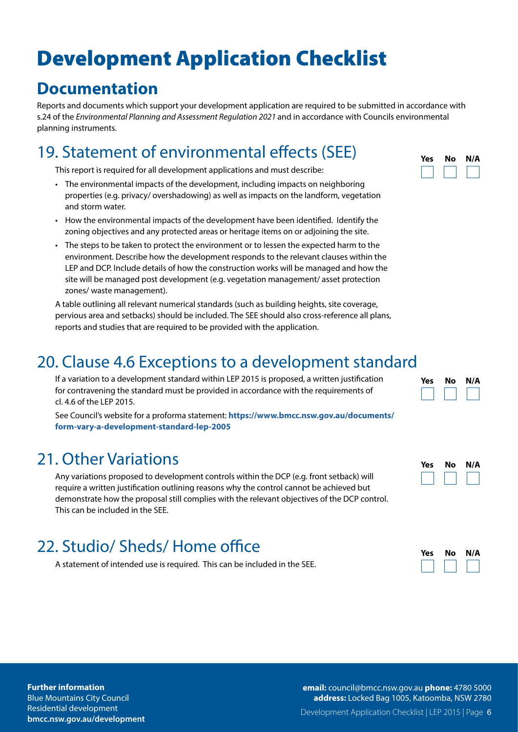### **Documentation**

Reports and documents which support your development application are required to be submitted in accordance with s.24 of the *Environmental Planning and Assessment Regulation 2021* and in accordance with Councils environmental planning instruments.

### 19. Statement of environmental effects (SEE)

This report is required for all development applications and must describe:

- The environmental impacts of the development, including impacts on neighboring properties (e.g. privacy/ overshadowing) as well as impacts on the landform, vegetation and storm water.
- How the environmental impacts of the development have been identified. Identify the zoning objectives and any protected areas or heritage items on or adjoining the site.
- The steps to be taken to protect the environment or to lessen the expected harm to the environment. Describe how the development responds to the relevant clauses within the LEP and DCP. Include details of how the construction works will be managed and how the site will be managed post development (e.g. vegetation management/ asset protection zones/ waste management).

A table outlining all relevant numerical standards (such as building heights, site coverage, pervious area and setbacks) should be included. The SEE should also cross-reference all plans, reports and studies that are required to be provided with the application.

### 20. Clause 4.6 Exceptions to a development standard

If a variation to a development standard within LEP 2015 is proposed, a written justification for contravening the standard must be provided in accordance with the requirements of cl. 4.6 of the LEP 2015.

See Council's website for a proforma statement: **https://www.bmcc.nsw.gov.au/documents/ form-vary-a-development-standard-lep-2005**

### 21. Other Variations

Any variations proposed to development controls within the DCP (e.g. front setback) will require a written justification outlining reasons why the control cannot be achieved but demonstrate how the proposal still complies with the relevant objectives of the DCP control. This can be included in the SEE.

### 22. Studio/ Sheds/ Home office

A statement of intended use is required. This can be included in the SEE.

| Yes | Nο | N/A |
|-----|----|-----|
|     |    |     |

| Yes | No | N/A |
|-----|----|-----|
|     |    |     |

**Yes No N/A**

| Yes | Nο | N/A |
|-----|----|-----|
|     |    |     |

#### **Further information**

Blue Mountains City Council Residential development **[bmcc.nsw.gov.au/d](https://www.bmcc.nsw.gov.au/community/cemeteries)evelopment** Development Application Checklist | LEP 2015 | Page 6 **email:** [council@bmcc.nsw.gov.au](mailto:council%40bmcc.nsw.gov.au%20?subject=) **phone:** 4780 5000 **address:** Locked Bag 1005, Katoomba, NSW 2780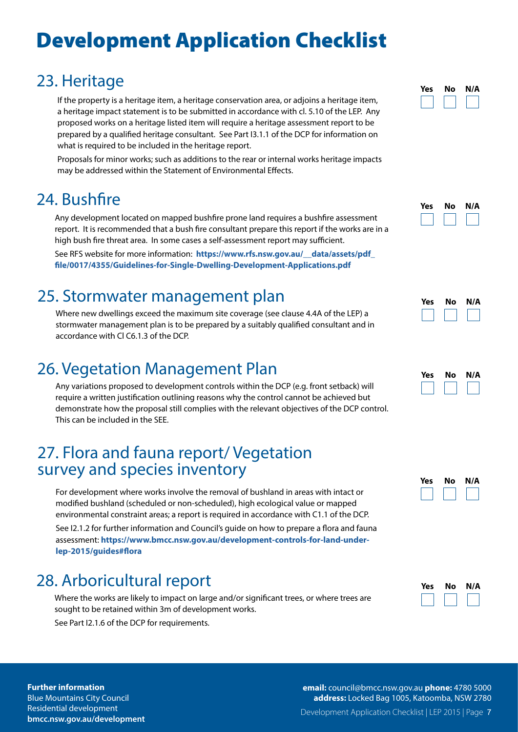### 23. Heritage

If the property is a heritage item, a heritage conservation area, or adjoins a heritage item, a heritage impact statement is to be submitted in accordance with cl. 5.10 of the LEP. Any proposed works on a heritage listed item will require a heritage assessment report to be prepared by a qualified heritage consultant. See Part I3.1.1 of the DCP for information on what is required to be included in the heritage report.

Proposals for minor works; such as additions to the rear or internal works heritage impacts may be addressed within the Statement of Environmental Effects.

### 24. Bushfire

Any development located on mapped bushfire prone land requires a bushfire assessment report. It is recommended that a bush fire consultant prepare this report if the works are in a high bush fire threat area. In some cases a self-assessment report may sufficient.

See RFS website for more information: **https://www.rfs.nsw.gov.au/\_\_data/assets/pdf\_ file/0017/4355/Guidelines-for-Single-Dwelling-Development-Applications.pdf**

### 25. Stormwater management plan

Where new dwellings exceed the maximum site coverage (see clause 4.4A of the LEP) a stormwater management plan is to be prepared by a suitably qualified consultant and in accordance with Cl C6.1.3 of the DCP.

### 26. Vegetation Management Plan

Any variations proposed to development controls within the DCP (e.g. front setback) will require a written justification outlining reasons why the control cannot be achieved but demonstrate how the proposal still complies with the relevant objectives of the DCP control. This can be included in the SEE.

# 27. Flora and fauna report/ Vegetation survey and species inventory

For development where works involve the removal of bushland in areas with intact or modified bushland (scheduled or non-scheduled), high ecological value or mapped environmental constraint areas; a report is required in accordance with C1.1 of the DCP.

See I2.1.2 for further information and Council's guide on how to prepare a flora and fauna assessment: **https://www.bmcc.nsw.gov.au/development-controls-for-land-underlep-2015/guides#flora**

### 28. Arboricultural report

Where the works are likely to impact on large and/or significant trees, or where trees are sought to be retained within 3m of development works.

See Part I2.1.6 of the DCP for requirements.

| Yes | No | N/A |
|-----|----|-----|
|     |    |     |

| Yes | Nο | N/A |
|-----|----|-----|
|     |    |     |

| Yes | Nο | N/A |
|-----|----|-----|
|     |    |     |

| Yes | Nο | N/A |
|-----|----|-----|
|     |    |     |

| Yes | No | N/A |
|-----|----|-----|
|     |    |     |

| Yes | No | N/A |
|-----|----|-----|
|     |    |     |

**Further information**

Blue Mountains City Council Residential development **[bmcc.nsw.gov.au/d](https://www.bmcc.nsw.gov.au/community/cemeteries)evelopment** Development Application Checklist | LEP 2015 | Page 7 **email:** [council@bmcc.nsw.gov.au](mailto:council%40bmcc.nsw.gov.au%20?subject=) **phone:** 4780 5000 **address:** Locked Bag 1005, Katoomba, NSW 2780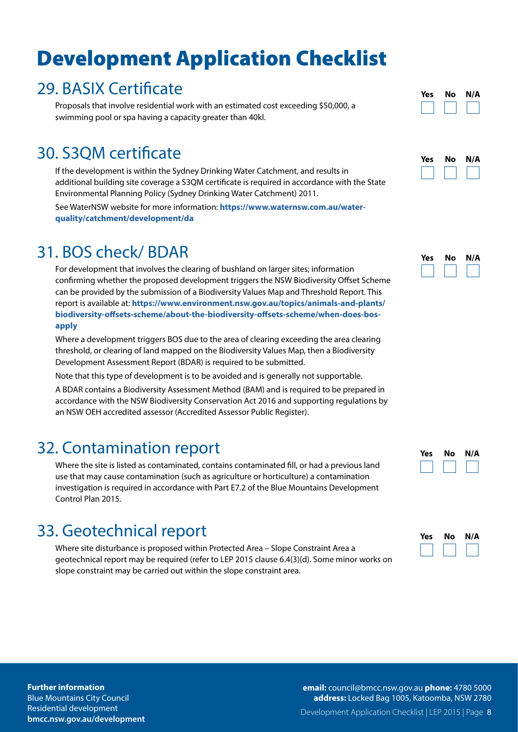### 29. BASIX Certificate

Proposals that involve residential work with an estimated cost exceeding \$50,000, a swimming pool or spa having a capacity greater than 40kl.

### 30. S3QM certificate

If the development is within the Sydney Drinking Water Catchment, and results in additional building site coverage a S3QM certificate is required in accordance with the State Environmental Planning Policy (Sydney Drinking Water Catchment) 2011.

See WaterNSW website for more information: **https://www.waternsw.com.au/waterquality/catchment/development/da**

### 31. BOS check/ BDAR

For development that involves the clearing of bushland on larger sites; information confirming whether the proposed development triggers the NSW Biodiversity Offset Scheme can be provided by the submission of a Biodiversity Values Map and Threshold Report. This report is available at: **https://www.environment.nsw.gov.au/topics/animals-and-plants/ biodiversity-offsets-scheme/about-the-biodiversity-offsets-scheme/when-does-bosapply**

Where a development triggers BOS due to the area of clearing exceeding the area clearing threshold, or clearing of land mapped on the Biodiversity Values Map, then a Biodiversity Development Assessment Report (BDAR) is required to be submitted.

Note that this type of development is to be avoided and is generally not supportable.

A BDAR contains a Biodiversity Assessment Method (BAM) and is required to be prepared in accordance with the NSW Biodiversity Conservation Act 2016 and supporting regulations by an NSW OEH accredited assessor (Accredited Assessor Public Register).

### 32. Contamination report

Where the site is listed as contaminated, contains contaminated fill, or had a previous land use that may cause contamination (such as agriculture or horticulture) a contamination investigation is required in accordance with Part E7.2 of the Blue Mountains Development Control Plan 2015.

### 33. Geotechnical report

Where site disturbance is proposed within Protected Area – Slope Constraint Area a geotechnical report may be required (refer to LEP 2015 clause 6.4(3)(d). Some minor works on slope constraint may be carried out within the slope constraint area.

| Yes | No | N/A |
|-----|----|-----|
|     |    |     |

| Yes | Nο | N/A |
|-----|----|-----|
|     |    |     |

| Yes | Nο | N/A |
|-----|----|-----|
|     |    |     |

| Yes | No | N/A |
|-----|----|-----|
|     |    |     |

| Yes | No | N/A |
|-----|----|-----|
|     |    |     |

**Further information**

Blue Mountains City Council Residential development **[bmcc.nsw.gov.au/d](https://www.bmcc.nsw.gov.au/community/cemeteries)evelopment** Development Application Checklist | LEP 2015 | Page 8 **email:** [council@bmcc.nsw.gov.au](mailto:council%40bmcc.nsw.gov.au%20?subject=) **phone:** 4780 5000 **address:** Locked Bag 1005, Katoomba, NSW 2780